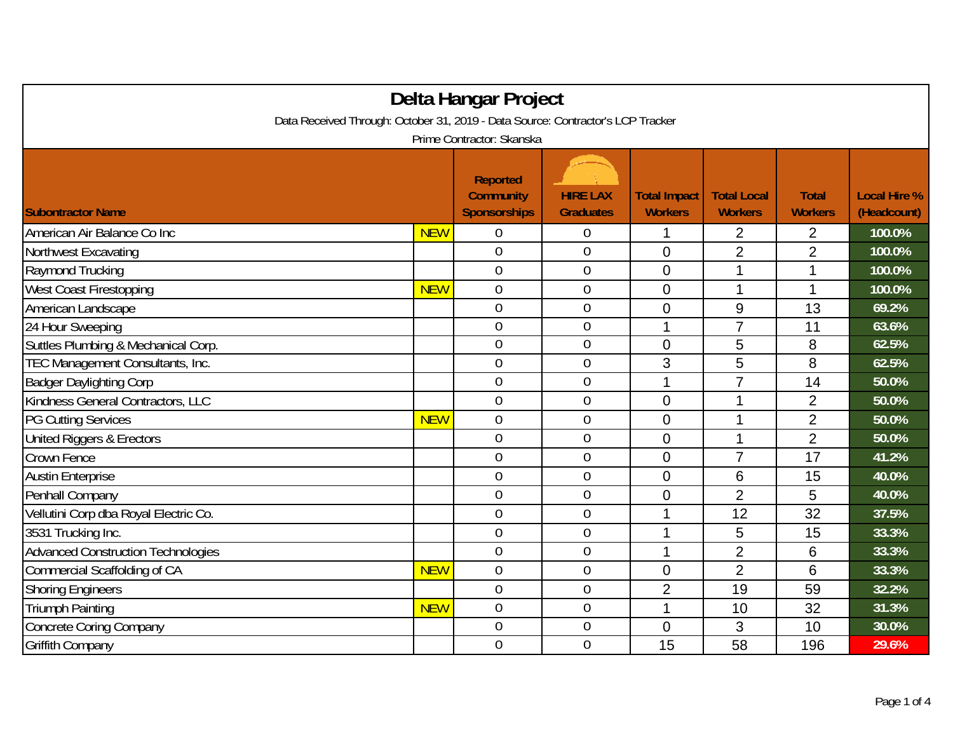| Delta Hangar Project                                                            |            |                                                            |                                     |                                       |                                      |                                |                                    |
|---------------------------------------------------------------------------------|------------|------------------------------------------------------------|-------------------------------------|---------------------------------------|--------------------------------------|--------------------------------|------------------------------------|
| Data Received Through: October 31, 2019 - Data Source: Contractor's LCP Tracker |            |                                                            |                                     |                                       |                                      |                                |                                    |
| Prime Contractor: Skanska                                                       |            |                                                            |                                     |                                       |                                      |                                |                                    |
| <b>Subontractor Name</b>                                                        |            | <b>Reported</b><br><b>Community</b><br><b>Sponsorships</b> | <b>HIRE LAX</b><br><b>Graduates</b> | <b>Total Impact</b><br><b>Workers</b> | <b>Total Local</b><br><b>Workers</b> | <b>Total</b><br><b>Workers</b> | <b>Local Hire %</b><br>(Headcount) |
| American Air Balance Co Inc                                                     | <b>NEW</b> | 0                                                          | $\boldsymbol{0}$                    | 1                                     | $\overline{2}$                       | $\overline{2}$                 | 100.0%                             |
| Northwest Excavating                                                            |            | $\mathbf 0$                                                | $\boldsymbol{0}$                    | $\overline{0}$                        | $\overline{2}$                       | $\overline{2}$                 | 100.0%                             |
| Raymond Trucking                                                                |            | $\mathbf 0$                                                | $\mathbf 0$                         | $\overline{0}$                        | 1                                    | 1                              | 100.0%                             |
| <b>West Coast Firestopping</b>                                                  | <b>NEW</b> | $\overline{0}$                                             | $\mathbf 0$                         | $\overline{0}$                        | 1                                    | 1                              | 100.0%                             |
| American Landscape                                                              |            | $\overline{0}$                                             | $\mathbf 0$                         | $\overline{0}$                        | $9\,$                                | 13                             | 69.2%                              |
| 24 Hour Sweeping                                                                |            | $\overline{0}$                                             | $\mathbf 0$                         | 1                                     | $\overline{7}$                       | 11                             | 63.6%                              |
| Suttles Plumbing & Mechanical Corp.                                             |            | $\overline{0}$                                             | $\boldsymbol{0}$                    | $\overline{0}$                        | 5                                    | 8                              | 62.5%                              |
| TEC Management Consultants, Inc.                                                |            | $\mathbf 0$                                                | $\mathbf 0$                         | 3                                     | 5                                    | 8                              | 62.5%                              |
| <b>Badger Daylighting Corp</b>                                                  |            | $\overline{0}$                                             | $\mathbf 0$                         | 1                                     | $\overline{7}$                       | 14                             | 50.0%                              |
| Kindness General Contractors, LLC                                               |            | $\mathbf 0$                                                | $\mathbf{0}$                        | $\overline{0}$                        | 1                                    | $\overline{2}$                 | 50.0%                              |
| <b>PG Cutting Services</b>                                                      | <b>NEW</b> | $\overline{0}$                                             | $\mathbf 0$                         | $\overline{0}$                        | 1                                    | $\overline{2}$                 | 50.0%                              |
| United Riggers & Erectors                                                       |            | $\overline{0}$                                             | $\mathbf 0$                         | $\overline{0}$                        | 1                                    | $\overline{2}$                 | 50.0%                              |
| Crown Fence                                                                     |            | $\overline{0}$                                             | $\overline{0}$                      | $\overline{0}$                        | $\overline{7}$                       | 17                             | 41.2%                              |
| <b>Austin Enterprise</b>                                                        |            | $\overline{0}$                                             | $\mathbf{0}$                        | $\overline{0}$                        | 6                                    | 15                             | 40.0%                              |
| Penhall Company                                                                 |            | $\overline{0}$                                             | $\overline{0}$                      | $\overline{0}$                        | $\overline{2}$                       | 5                              | 40.0%                              |
| Vellutini Corp dba Royal Electric Co.                                           |            | $\overline{0}$                                             | $\boldsymbol{0}$                    | 1                                     | 12                                   | 32                             | 37.5%                              |
| 3531 Trucking Inc.                                                              |            | $\overline{0}$                                             | $\mathbf 0$                         | 1                                     | 5                                    | 15                             | 33.3%                              |
| <b>Advanced Construction Technologies</b>                                       |            | $\overline{0}$                                             | $\mathbf 0$                         | 1                                     | $\overline{2}$                       | 6                              | 33.3%                              |
| <b>Commercial Scaffolding of CA</b>                                             | <b>NEW</b> | $\overline{0}$                                             | $\mathbf 0$                         | $\mathbf 0$                           | $\overline{2}$                       | 6                              | 33.3%                              |
| Shoring Engineers                                                               |            | $\mathbf 0$                                                | $\boldsymbol{0}$                    | $\overline{2}$                        | 19                                   | 59                             | 32.2%                              |
| <b>Triumph Painting</b>                                                         | <b>NEW</b> | $\overline{0}$                                             | $\boldsymbol{0}$                    | 1                                     | 10                                   | 32                             | 31.3%                              |
| Concrete Coring Company                                                         |            | $\overline{0}$                                             | $\overline{0}$                      | $\overline{0}$                        | 3                                    | 10                             | 30.0%                              |
| Griffith Company                                                                |            | $\overline{0}$                                             | $\overline{0}$                      | 15                                    | 58                                   | 196                            | 29.6%                              |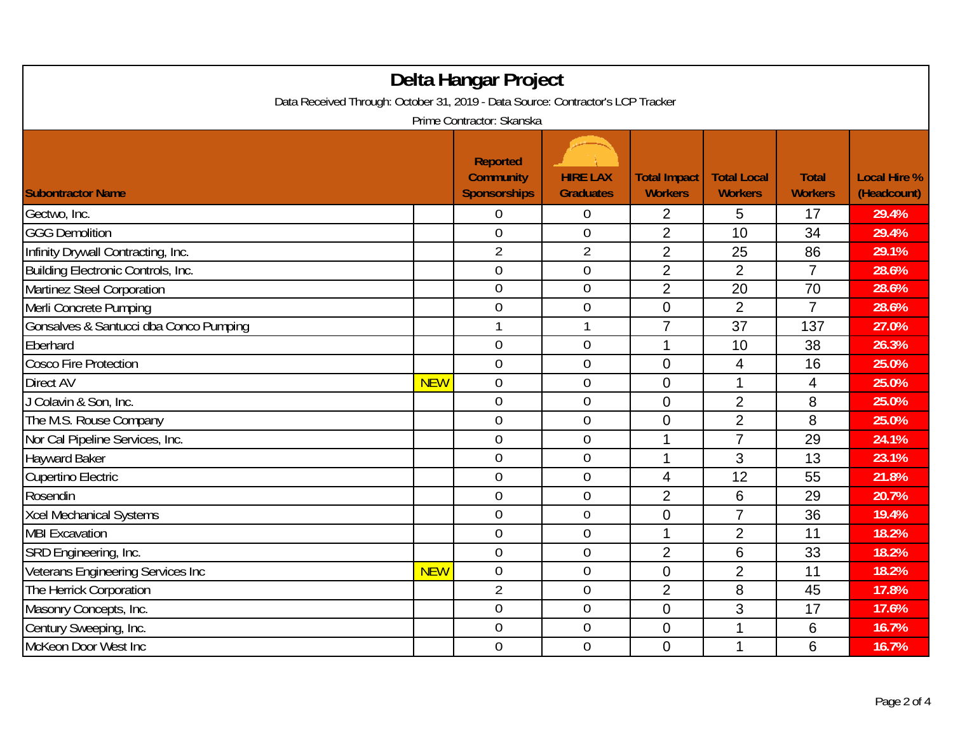| Delta Hangar Project<br>Data Received Through: October 31, 2019 - Data Source: Contractor's LCP Tracker |            |                                                            |                                     |                                       |                                      |                                |                                    |  |
|---------------------------------------------------------------------------------------------------------|------------|------------------------------------------------------------|-------------------------------------|---------------------------------------|--------------------------------------|--------------------------------|------------------------------------|--|
| Prime Contractor: Skanska                                                                               |            |                                                            |                                     |                                       |                                      |                                |                                    |  |
| <b>Subontractor Name</b>                                                                                |            | <b>Reported</b><br><b>Community</b><br><b>Sponsorships</b> | <b>HIRE LAX</b><br><b>Graduates</b> | <b>Total Impact</b><br><b>Workers</b> | <b>Total Local</b><br><b>Workers</b> | <b>Total</b><br><b>Workers</b> | <b>Local Hire %</b><br>(Headcount) |  |
| Gectwo, Inc.                                                                                            |            | 0                                                          | $\boldsymbol{0}$                    | 2                                     | 5                                    | 17                             | 29.4%                              |  |
| <b>GGG Demolition</b>                                                                                   |            | $\mathbf 0$                                                | $\mathbf 0$                         | $\overline{2}$                        | 10                                   | 34                             | 29.4%                              |  |
| Infinity Drywall Contracting, Inc.                                                                      |            | $\overline{2}$                                             | $\overline{2}$                      | $\overline{2}$                        | 25                                   | 86                             | 29.1%                              |  |
| Building Electronic Controls, Inc.                                                                      |            | $\overline{0}$                                             | $\boldsymbol{0}$                    | $\overline{2}$                        | $\overline{2}$                       | $\overline{7}$                 | 28.6%                              |  |
| <b>Martinez Steel Corporation</b>                                                                       |            | $\mathbf 0$                                                | $\mathbf 0$                         | $\overline{2}$                        | 20                                   | 70                             | 28.6%                              |  |
| Merli Concrete Pumping                                                                                  |            | $\overline{0}$                                             | $\mathbf 0$                         | $\overline{0}$                        | $\overline{2}$                       | $\overline{7}$                 | 28.6%                              |  |
| Gonsalves & Santucci dba Conco Pumping                                                                  |            |                                                            |                                     | $\overline{7}$                        | 37                                   | 137                            | 27.0%                              |  |
| Eberhard                                                                                                |            | $\overline{0}$                                             | $\mathbf 0$                         | 1                                     | 10                                   | 38                             | 26.3%                              |  |
| <b>Cosco Fire Protection</b>                                                                            |            | $\mathbf 0$                                                | $\boldsymbol{0}$                    | $\Omega$                              | $\overline{4}$                       | 16                             | 25.0%                              |  |
| Direct AV                                                                                               | <b>NEW</b> | $\mathbf 0$                                                | $\mathbf 0$                         | $\overline{0}$                        | 1                                    | $\overline{4}$                 | 25.0%                              |  |
| J Colavin & Son, Inc.                                                                                   |            | $\overline{0}$                                             | $\mathbf 0$                         | $\Omega$                              | $\overline{2}$                       | 8                              | 25.0%                              |  |
| The M.S. Rouse Company                                                                                  |            | $\overline{0}$                                             | $\mathbf 0$                         | $\overline{0}$                        | $\overline{2}$                       | 8                              | 25.0%                              |  |
| Nor Cal Pipeline Services, Inc.                                                                         |            | $\overline{0}$                                             | $\mathbf 0$                         | 1                                     | $\overline{7}$                       | 29                             | 24.1%                              |  |
| <b>Hayward Baker</b>                                                                                    |            | $\overline{0}$                                             | $\mathbf 0$                         | 1                                     | 3                                    | 13                             | 23.1%                              |  |
| <b>Cupertino Electric</b>                                                                               |            | $\overline{0}$                                             | $\boldsymbol{0}$                    | $\overline{\mathbf{4}}$               | 12                                   | 55                             | 21.8%                              |  |
| Rosendin                                                                                                |            | $\overline{0}$                                             | $\mathbf 0$                         | $\overline{2}$                        | $6\,$                                | 29                             | 20.7%                              |  |
| <b>Xcel Mechanical Systems</b>                                                                          |            | $\overline{0}$                                             | $\overline{0}$                      | $\overline{0}$                        | $\overline{7}$                       | 36                             | 19.4%                              |  |
| <b>MBI Excavation</b>                                                                                   |            | $\overline{0}$                                             | $\overline{0}$                      | 1                                     | $\overline{2}$                       | 11                             | 18.2%                              |  |
| SRD Engineering, Inc.                                                                                   |            | $\overline{0}$                                             | $\overline{0}$                      | $\overline{2}$                        | 6                                    | 33                             | 18.2%                              |  |
| Veterans Engineering Services Inc                                                                       | <b>NEW</b> | $\overline{0}$                                             | $\mathbf 0$                         | $\overline{0}$                        | $\overline{2}$                       | 11                             | 18.2%                              |  |
| The Herrick Corporation                                                                                 |            | $\overline{2}$                                             | $\boldsymbol{0}$                    | $\overline{2}$                        | 8                                    | 45                             | 17.8%                              |  |
| Masonry Concepts, Inc.                                                                                  |            | $\overline{0}$                                             | $\mathbf 0$                         | $\overline{0}$                        | 3                                    | 17                             | 17.6%                              |  |
| Century Sweeping, Inc.                                                                                  |            | $\overline{0}$                                             | $\boldsymbol{0}$                    | $\overline{0}$                        | 1                                    | 6                              | 16.7%                              |  |
| McKeon Door West Inc                                                                                    |            | 0                                                          | $\mathbf 0$                         | $\overline{0}$                        | 1                                    | 6                              | 16.7%                              |  |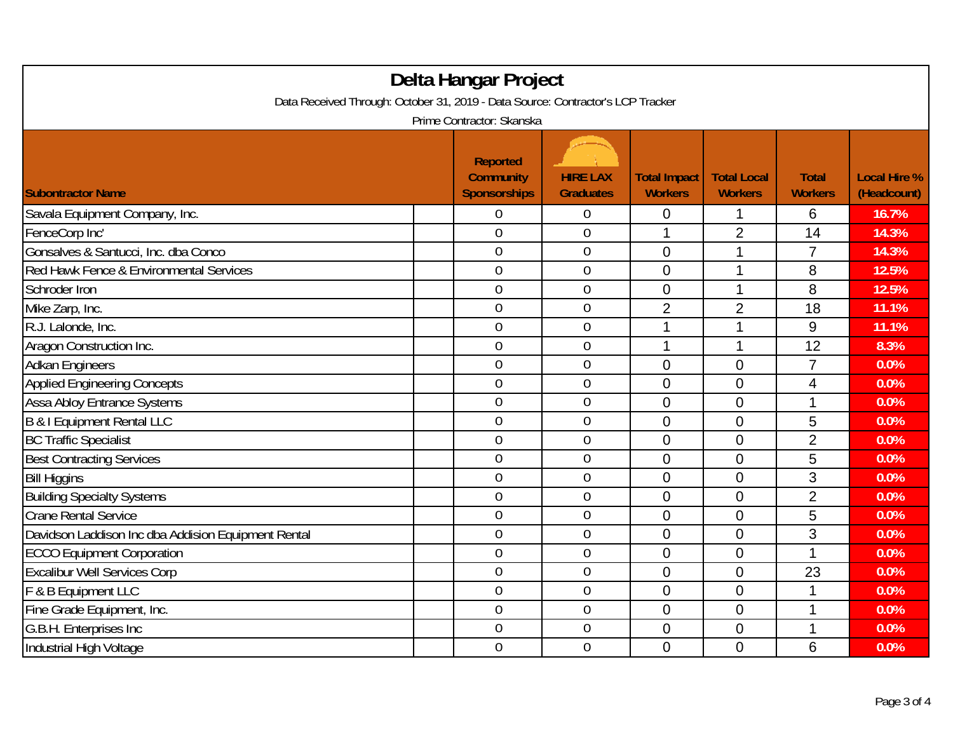| Delta Hangar Project                                                                                         |  |                                                            |                                     |                                       |                                      |                                |                                    |  |
|--------------------------------------------------------------------------------------------------------------|--|------------------------------------------------------------|-------------------------------------|---------------------------------------|--------------------------------------|--------------------------------|------------------------------------|--|
| Data Received Through: October 31, 2019 - Data Source: Contractor's LCP Tracker<br>Prime Contractor: Skanska |  |                                                            |                                     |                                       |                                      |                                |                                    |  |
| <b>Subontractor Name</b>                                                                                     |  | <b>Reported</b><br><b>Community</b><br><b>Sponsorships</b> | <b>HIRE LAX</b><br><b>Graduates</b> | <b>Total Impact</b><br><b>Workers</b> | <b>Total Local</b><br><b>Workers</b> | <b>Total</b><br><b>Workers</b> | <b>Local Hire %</b><br>(Headcount) |  |
| Savala Equipment Company, Inc.                                                                               |  | 0                                                          | $\overline{0}$                      | $\overline{0}$                        | 1                                    | 6                              | 16.7%                              |  |
| FenceCorp Inc'                                                                                               |  | $\overline{0}$                                             | $\overline{0}$                      | 1                                     | $\overline{2}$                       | 14                             | 14.3%                              |  |
| Gonsalves & Santucci, Inc. dba Conco                                                                         |  | $\overline{0}$                                             | $\boldsymbol{0}$                    | $\overline{0}$                        | 1                                    | $\overline{7}$                 | 14.3%                              |  |
| Red Hawk Fence & Environmental Services                                                                      |  | $\mathbf 0$                                                | $\boldsymbol{0}$                    | $\overline{0}$                        | 1                                    | 8                              | 12.5%                              |  |
| Schroder Iron                                                                                                |  | $\overline{0}$                                             | $\mathbf 0$                         | $\overline{0}$                        | 1                                    | 8                              | 12.5%                              |  |
| Mike Zarp, Inc.                                                                                              |  | $\overline{0}$                                             | $\boldsymbol{0}$                    | $\overline{2}$                        | $\overline{2}$                       | 18                             | 11.1%                              |  |
| R.J. Lalonde, Inc.                                                                                           |  | $\overline{0}$                                             | $\mathbf{0}$                        | 1                                     | 1                                    | 9                              | 11.1%                              |  |
| Aragon Construction Inc.                                                                                     |  | $\overline{0}$                                             | $\mathbf 0$                         | 1                                     | 1                                    | 12                             | 8.3%                               |  |
| <b>Adkan Engineers</b>                                                                                       |  | $\overline{0}$                                             | $\boldsymbol{0}$                    | $\overline{0}$                        | $\overline{0}$                       | $\overline{7}$                 | 0.0%                               |  |
| <b>Applied Engineering Concepts</b>                                                                          |  | $\overline{0}$                                             | $\mathbf 0$                         | $\overline{0}$                        | $\overline{0}$                       | 4                              | 0.0%                               |  |
| <b>Assa Abloy Entrance Systems</b>                                                                           |  | $\overline{0}$                                             | $\overline{0}$                      | $\mathbf 0$                           | $\overline{0}$                       | 1                              | 0.0%                               |  |
| <b>B &amp; I Equipment Rental LLC</b>                                                                        |  | $\overline{0}$                                             | $\boldsymbol{0}$                    | $\overline{0}$                        | $\overline{0}$                       | 5                              | 0.0%                               |  |
| <b>BC Traffic Specialist</b>                                                                                 |  | $\overline{0}$                                             | $\mathbf 0$                         | $\mathbf 0$                           | $\mathbf 0$                          | $\overline{2}$                 | 0.0%                               |  |
| <b>Best Contracting Services</b>                                                                             |  | $\overline{0}$                                             | $\mathbf 0$                         | $\overline{0}$                        | $\overline{0}$                       | 5                              | 0.0%                               |  |
| <b>Bill Higgins</b>                                                                                          |  | $\overline{0}$                                             | $\boldsymbol{0}$                    | $\overline{0}$                        | $\mathbf 0$                          | 3                              | 0.0%                               |  |
| <b>Building Specialty Systems</b>                                                                            |  | $\mathbf 0$                                                | $\boldsymbol{0}$                    | $\Omega$                              | $\overline{0}$                       | $\overline{2}$                 | 0.0%                               |  |
| <b>Crane Rental Service</b>                                                                                  |  | $\overline{0}$                                             | $\mathbf 0$                         | $\overline{0}$                        | $\overline{0}$                       | 5                              | 0.0%                               |  |
| Davidson Laddison Inc dba Addision Equipment Rental                                                          |  | $\overline{0}$                                             | $\mathbf 0$                         | $\overline{0}$                        | $\overline{0}$                       | 3                              | 0.0%                               |  |
| <b>ECCO Equipment Corporation</b>                                                                            |  | $\overline{0}$                                             | $\mathbf 0$                         | $\overline{0}$                        | $\overline{0}$                       | 1                              | 0.0%                               |  |
| <b>Excalibur Well Services Corp</b>                                                                          |  | $\overline{0}$                                             | $\mathbf 0$                         | $\mathbf 0$                           | $\mathbf 0$                          | 23                             | 0.0%                               |  |
| F & B Equipment LLC                                                                                          |  | $\boldsymbol{0}$                                           | $\boldsymbol{0}$                    | $\mathbf 0$                           | $\mathbf 0$                          | $\mathbf{1}$                   | 0.0%                               |  |
| Fine Grade Equipment, Inc.                                                                                   |  | $\overline{0}$                                             | $\mathbf 0$                         | $\overline{0}$                        | $\overline{0}$                       | 1                              | 0.0%                               |  |
| G.B.H. Enterprises Inc                                                                                       |  | $\boldsymbol{0}$                                           | $\boldsymbol{0}$                    | $\mathbf 0$                           | $\mathbf 0$                          | 1                              | 0.0%                               |  |
| Industrial High Voltage                                                                                      |  | $\overline{0}$                                             | $\mathbf 0$                         | $\Omega$                              | $\overline{0}$                       | 6                              | 0.0%                               |  |